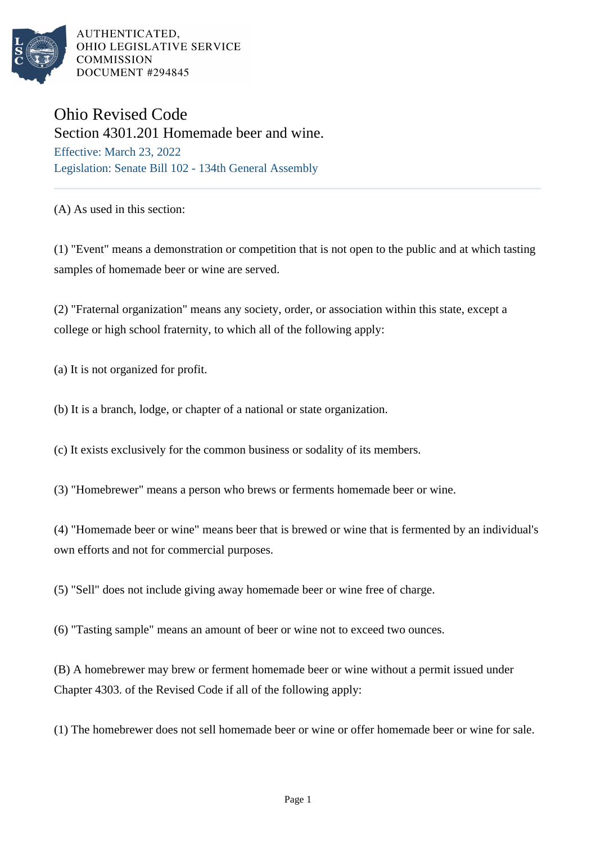

AUTHENTICATED, OHIO LEGISLATIVE SERVICE **COMMISSION** DOCUMENT #294845

## Ohio Revised Code

Section 4301.201 Homemade beer and wine. Effective: March 23, 2022 Legislation: Senate Bill 102 - 134th General Assembly

(A) As used in this section:

(1) "Event" means a demonstration or competition that is not open to the public and at which tasting samples of homemade beer or wine are served.

(2) "Fraternal organization" means any society, order, or association within this state, except a college or high school fraternity, to which all of the following apply:

(a) It is not organized for profit.

(b) It is a branch, lodge, or chapter of a national or state organization.

(c) It exists exclusively for the common business or sodality of its members.

(3) "Homebrewer" means a person who brews or ferments homemade beer or wine.

(4) "Homemade beer or wine" means beer that is brewed or wine that is fermented by an individual's own efforts and not for commercial purposes.

(5) "Sell" does not include giving away homemade beer or wine free of charge.

(6) "Tasting sample" means an amount of beer or wine not to exceed two ounces.

(B) A homebrewer may brew or ferment homemade beer or wine without a permit issued under Chapter 4303. of the Revised Code if all of the following apply:

(1) The homebrewer does not sell homemade beer or wine or offer homemade beer or wine for sale.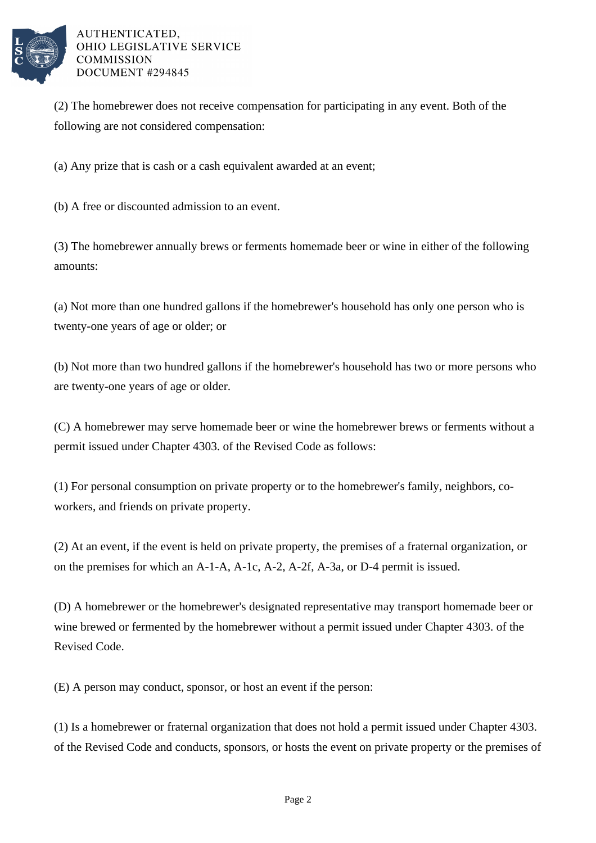

AUTHENTICATED. OHIO LEGISLATIVE SERVICE **COMMISSION** DOCUMENT #294845

(2) The homebrewer does not receive compensation for participating in any event. Both of the following are not considered compensation:

(a) Any prize that is cash or a cash equivalent awarded at an event;

(b) A free or discounted admission to an event.

(3) The homebrewer annually brews or ferments homemade beer or wine in either of the following amounts:

(a) Not more than one hundred gallons if the homebrewer's household has only one person who is twenty-one years of age or older; or

(b) Not more than two hundred gallons if the homebrewer's household has two or more persons who are twenty-one years of age or older.

(C) A homebrewer may serve homemade beer or wine the homebrewer brews or ferments without a permit issued under Chapter 4303. of the Revised Code as follows:

(1) For personal consumption on private property or to the homebrewer's family, neighbors, coworkers, and friends on private property.

(2) At an event, if the event is held on private property, the premises of a fraternal organization, or on the premises for which an A-1-A, A-1c, A-2, A-2f, A-3a, or D-4 permit is issued.

(D) A homebrewer or the homebrewer's designated representative may transport homemade beer or wine brewed or fermented by the homebrewer without a permit issued under Chapter 4303. of the Revised Code.

(E) A person may conduct, sponsor, or host an event if the person:

(1) Is a homebrewer or fraternal organization that does not hold a permit issued under Chapter 4303. of the Revised Code and conducts, sponsors, or hosts the event on private property or the premises of